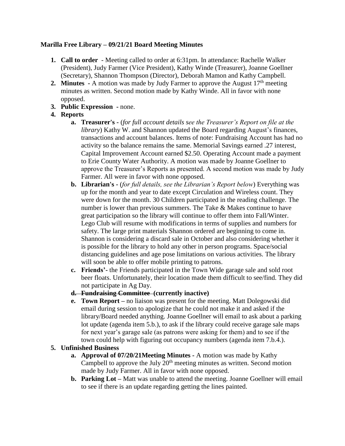## **Marilla Free Library – 09/21/21 Board Meeting Minutes**

- **1. Call to order**  Meeting called to order at 6:31pm. In attendance: Rachelle Walker (President), Judy Farmer (Vice President), Kathy Winde (Treasurer), Joanne Goellner (Secretary), Shannon Thompson (Director), Deborah Mamon and Kathy Campbell.
- **2. Minutes** A motion was made by Judy Farmer to approve the August 17<sup>th</sup> meeting minutes as written. Second motion made by Kathy Winde. All in favor with none opposed.
- **3. Public Expression -** none.

# **4. Reports**

- **a. Treasurer's -** (*for full account details see the Treasurer's Report on file at the library*) Kathy W. and Shannon updated the Board regarding August's finances, transactions and account balances. Items of note: Fundraising Account has had no activity so the balance remains the same. Memorial Savings earned .27 interest, Capital Improvement Account earned \$2.50. Operating Account made a payment to Erie County Water Authority. A motion was made by Joanne Goellner to approve the Treasurer's Reports as presented. A second motion was made by Judy Farmer. All were in favor with none opposed.
- **b. Librarian's -** (*for full details, see the Librarian's Report below*) Everything was up for the month and year to date except Circulation and Wireless count. They were down for the month. 30 Children participated in the reading challenge. The number is lower than previous summers. The Take & Makes continue to have great participation so the library will continue to offer them into Fall/Winter. Lego Club will resume with modifications in terms of supplies and numbers for safety. The large print materials Shannon ordered are beginning to come in. Shannon is considering a discard sale in October and also considering whether it is possible for the library to hold any other in person programs. Space/social distancing guidelines and age pose limitations on various activities. The library will soon be able to offer mobile printing to patrons.
- **c. Friends'-** the Friends participated in the Town Wide garage sale and sold root beer floats. Unfortunately, their location made them difficult to see/find. They did not participate in Ag Day.
- **d. Fundraising Committee (currently inactive)**
- **e. Town Report –** no liaison was present for the meeting. Matt Dolegowski did email during session to apologize that he could not make it and asked if the library/Board needed anything. Joanne Goellner will email to ask about a parking lot update (agenda item 5.b.), to ask if the library could receive garage sale maps for next year's garage sale (as patrons were asking for them) and to see if the town could help with figuring out occupancy numbers (agenda item 7.b.4.).

# **5. Unfinished Business**

- **a. Approval of 07/20/21Meeting Minutes -** A motion was made by Kathy Campbell to approve the July  $20<sup>th</sup>$  meeting minutes as written. Second motion made by Judy Farmer. All in favor with none opposed.
- **b. Parking Lot –** Matt was unable to attend the meeting. Joanne Goellner will email to see if there is an update regarding getting the lines painted.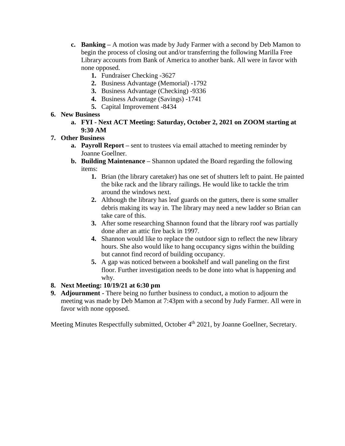- **c. Banking –** A motion was made by Judy Farmer with a second by Deb Mamon to begin the process of closing out and/or transferring the following Marilla Free Library accounts from Bank of America to another bank. All were in favor with none opposed.
	- **1.** Fundraiser Checking -3627
	- **2.** Business Advantage (Memorial) -1792
	- **3.** Business Advantage (Checking) -9336
	- **4.** Business Advantage (Savings) -1741
	- **5.** Capital Improvement -8434

## **6. New Business**

**a. FYI - Next ACT Meeting: Saturday, October 2, 2021 on ZOOM starting at 9:30 AM**

# **7. Other Business**

- **a. Payroll Report –** sent to trustees via email attached to meeting reminder by Joanne Goellner.
- **b. Building Maintenance –** Shannon updated the Board regarding the following items:
	- **1.** Brian (the library caretaker) has one set of shutters left to paint. He painted the bike rack and the library railings. He would like to tackle the trim around the windows next.
	- **2.** Although the library has leaf guards on the gutters, there is some smaller debris making its way in. The library may need a new ladder so Brian can take care of this.
	- **3.** After some researching Shannon found that the library roof was partially done after an attic fire back in 1997.
	- **4.** Shannon would like to replace the outdoor sign to reflect the new library hours. She also would like to hang occupancy signs within the building but cannot find record of building occupancy.
	- **5.** A gap was noticed between a bookshelf and wall paneling on the first floor. Further investigation needs to be done into what is happening and why.

## **8. Next Meeting: 10/19/21 at 6:30 pm**

**9. Adjournment -** There being no further business to conduct, a motion to adjourn the meeting was made by Deb Mamon at 7:43pm with a second by Judy Farmer. All were in favor with none opposed.

Meeting Minutes Respectfully submitted, October 4<sup>th</sup> 2021, by Joanne Goellner, Secretary.